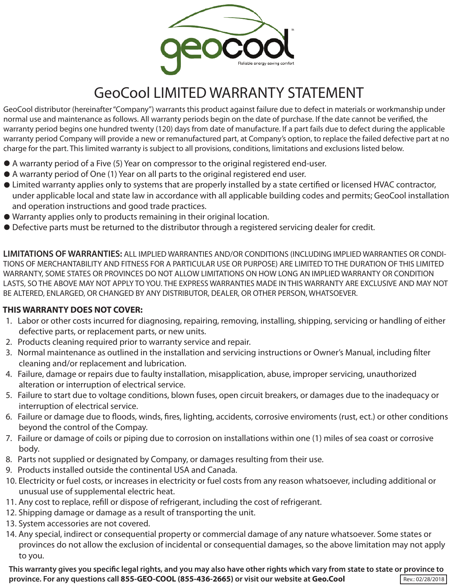

## GeoCool LIMITED WARRANTY STATEMENT

GeoCool distributor (hereinafter "Company") warrants this product against failure due to defect in materials or workmanship under normal use and maintenance as follows. All warranty periods begin on the date of purchase. If the date cannot be verified, the warranty period begins one hundred twenty (120) days from date of manufacture. If a part fails due to defect during the applicable warranty period Company will provide a new or remanufactured part, at Company's option, to replace the failed defective part at no charge for the part. This limited warranty is subject to all provisions, conditions, limitations and exclusions listed below.

- A warranty period of a Five (5) Year on compressor to the original registered end-user.
- A warranty period of One (1) Year on all parts to the original registered end user.
- $\bullet$  Limited warranty applies only to systems that are properly installed by a state certified or licensed HVAC contractor, under applicable local and state law in accordance with all applicable building codes and permits; GeoCool installation and operation instructions and good trade practices.
- Warranty applies only to products remaining in their original location.
- Defective parts must be returned to the distributor through a registered servicing dealer for credit.

**LIMITATIONS OF WARRANTIES:** ALL IMPLIED WARRANTIES AND/OR CONDITIONS (INCLUDING IMPLIED WARRANTIES OR CONDI-TIONS OF MERCHANTABILITY AND FITNESS FOR A PARTICULAR USE OR PURPOSE) ARE LIMITED TO THE DURATION OF THIS LIMITED WARRANTY, SOME STATES OR PROVINCES DO NOT ALLOW LIMITATIONS ON HOW LONG AN IMPLIED WARRANTY OR CONDITION LASTS, SO THE ABOVE MAY NOT APPLY TO YOU. THE EXPRESS WARRANTIES MADE IN THIS WARRANTY ARE EXCLUSIVE AND MAY NOT BE ALTERED, ENLARGED, OR CHANGED BY ANY DISTRIBUTOR, DEALER, OR OTHER PERSON, WHATSOEVER.

## **THIS WARRANTY DOES NOT COVER:**

- 1. Labor or other costs incurred for diagnosing, repairing, removing, installing, shipping, servicing or handling of either defective parts, or replacement parts, or new units.
- 2. Products cleaning required prior to warranty service and repair.
- 3. Normal maintenance as outlined in the installation and servicing instructions or Owner's Manual, including filter cleaning and/or replacement and lubrication.
- 4. Failure, damage or repairs due to faulty installation, misapplication, abuse, improper servicing, unauthorized alteration or interruption of electrical service.
- 5. Failure to start due to voltage conditions, blown fuses, open circuit breakers, or damages due to the inadequacy or interruption of electrical service.
- 6. Failure or damage due to floods, winds, fires, lighting, accidents, corrosive enviroments (rust, ect.) or other conditions beyond the control of the Compay.
- 7. Failure or damage of coils or piping due to corrosion on installations within one (1) miles of sea coast or corrosive body.
- 8. Parts not supplied or designated by Company, or damages resulting from their use.
- 9. Products installed outside the continental USA and Canada.
- 10. Electricity or fuel costs, or increases in electricity or fuel costs from any reason whatsoever, including additional or unusual use of supplemental electric heat.
- 11. Any cost to replace, refill or dispose of refrigerant, including the cost of refrigerant.
- 12. Shipping damage or damage as a result of transporting the unit.
- 13. System accessories are not covered.
- 14. Any special, indirect or consequential property or commercial damage of any nature whatsoever. Some states or provinces do not allow the exclusion of incidental or consequential damages, so the above limitation may not apply to you.

This warranty gives you specific legal rights, and you may also have other rights which vary from state to state or province to **province. For any questions call 855-GEO-COOL (855-436-2665) or visit our website at Geo.Cool Rev.: 02/28/2018**